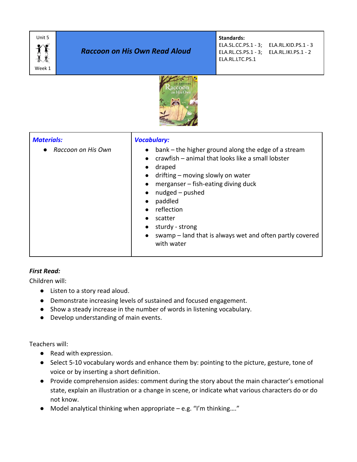

Г

# *Raccoon on His Own Read Aloud*

**Standards:** 

ELA.SL.CC.PS.1 - 3; ELA.RL.KID.PS.1 - 3 ELA.RL.CS.PS.1 - 3; ELA.RL.IKI.PS.1 - 2 ELA.RL.LTC.PS.1



| <b>Materials:</b>    | <b>Vocabulary:</b>                                                                                                                                                                                                                                                                                                                                              |
|----------------------|-----------------------------------------------------------------------------------------------------------------------------------------------------------------------------------------------------------------------------------------------------------------------------------------------------------------------------------------------------------------|
| • Raccoon on His Own | bank – the higher ground along the edge of a stream<br>$\bullet$<br>crawfish – animal that looks like a small lobster<br>draped<br>drifting - moving slowly on water<br>merganser – fish-eating diving duck<br>nudged - pushed<br>paddled<br>reflection<br>scatter<br>sturdy - strong<br>swamp – land that is always wet and often partly covered<br>with water |

## *First Read:*

Children will:

- Listen to a story read aloud.
- Demonstrate increasing levels of sustained and focused engagement.
- Show a steady increase in the number of words in listening vocabulary.
- Develop understanding of main events.

Teachers will:

- Read with expression.
- Select 5-10 vocabulary words and enhance them by: pointing to the picture, gesture, tone of voice or by inserting a short definition.
- Provide comprehension asides: comment during the story about the main character's emotional state, explain an illustration or a change in scene, or indicate what various characters do or do not know.
- $\bullet$  Model analytical thinking when appropriate e.g. "I'm thinking...."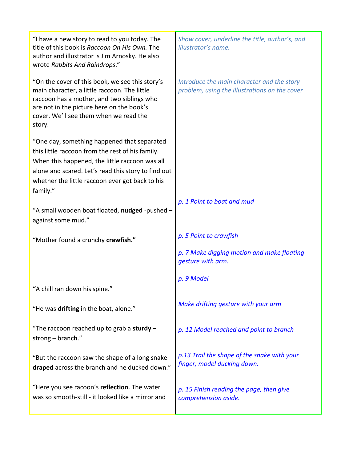| "I have a new story to read to you today. The<br>title of this book is Raccoon On His Own. The<br>author and illustrator is Jim Arnosky. He also<br>wrote Rabbits And Raindrops."                                                                                       | Show cover, underline the title, author's, and<br>illustrator's name.                       |
|-------------------------------------------------------------------------------------------------------------------------------------------------------------------------------------------------------------------------------------------------------------------------|---------------------------------------------------------------------------------------------|
| "On the cover of this book, we see this story's<br>main character, a little raccoon. The little<br>raccoon has a mother, and two siblings who<br>are not in the picture here on the book's<br>cover. We'll see them when we read the<br>story.                          | Introduce the main character and the story<br>problem, using the illustrations on the cover |
| "One day, something happened that separated<br>this little raccoon from the rest of his family.<br>When this happened, the little raccoon was all<br>alone and scared. Let's read this story to find out<br>whether the little raccoon ever got back to his<br>family." |                                                                                             |
| "A small wooden boat floated, nudged -pushed -<br>against some mud."                                                                                                                                                                                                    | p. 1 Point to boat and mud                                                                  |
| "Mother found a crunchy crawfish."                                                                                                                                                                                                                                      | p. 5 Point to crawfish                                                                      |
|                                                                                                                                                                                                                                                                         | p. 7 Make digging motion and make floating<br>gesture with arm.                             |
| "A chill ran down his spine."                                                                                                                                                                                                                                           | p. 9 Model                                                                                  |
| "He was drifting in the boat, alone."                                                                                                                                                                                                                                   | Make drifting gesture with your arm                                                         |
| "The raccoon reached up to grab a sturdy $-$<br>strong - branch."                                                                                                                                                                                                       | p. 12 Model reached and point to branch                                                     |
| "But the raccoon saw the shape of a long snake<br>draped across the branch and he ducked down."                                                                                                                                                                         | p.13 Trail the shape of the snake with your<br>finger, model ducking down.                  |
| "Here you see racoon's reflection. The water<br>was so smooth-still - it looked like a mirror and                                                                                                                                                                       | p. 15 Finish reading the page, then give<br>comprehension aside.                            |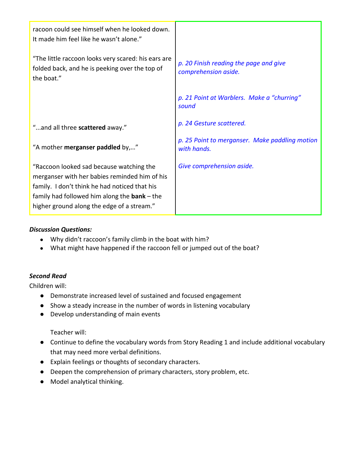| racoon could see himself when he looked down.<br>It made him feel like he wasn't alone."                                                                                                                                                   |                                                                |
|--------------------------------------------------------------------------------------------------------------------------------------------------------------------------------------------------------------------------------------------|----------------------------------------------------------------|
| "The little raccoon looks very scared: his ears are<br>folded back, and he is peeking over the top of<br>the boat."                                                                                                                        | p. 20 Finish reading the page and give<br>comprehension aside. |
|                                                                                                                                                                                                                                            | p. 21 Point at Warblers. Make a "churring"<br>sound            |
| "and all three scattered away."                                                                                                                                                                                                            | p. 24 Gesture scattered.                                       |
| "A mother merganser paddled by,"                                                                                                                                                                                                           | p. 25 Point to merganser. Make paddling motion<br>with hands.  |
| "Raccoon looked sad because watching the<br>merganser with her babies reminded him of his<br>family. I don't think he had noticed that his<br>family had followed him along the $bank$ – the<br>higher ground along the edge of a stream." | Give comprehension aside.                                      |

### *Discussion Questions:*

- Why didn't raccoon's family climb in the boat with him?
- What might have happened if the raccoon fell or jumped out of the boat?

## *Second Read*

Children will:

- Demonstrate increased level of sustained and focused engagement
- Show a steady increase in the number of words in listening vocabulary
- Develop understanding of main events

Teacher will:

- Continue to define the vocabulary words from Story Reading 1 and include additional vocabulary that may need more verbal definitions.
- Explain feelings or thoughts of secondary characters.
- Deepen the comprehension of primary characters, story problem, etc.
- Model analytical thinking.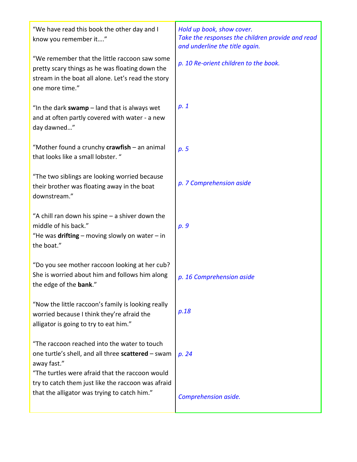| "We have read this book the other day and I<br>know you remember it"                                                                                                      | Hold up book, show cover.<br>Take the responses the children provide and read<br>and underline the title again. |
|---------------------------------------------------------------------------------------------------------------------------------------------------------------------------|-----------------------------------------------------------------------------------------------------------------|
| "We remember that the little raccoon saw some<br>pretty scary things as he was floating down the<br>stream in the boat all alone. Let's read the story<br>one more time." | p. 10 Re-orient children to the book.                                                                           |
| "In the dark swamp $-$ land that is always wet<br>and at often partly covered with water - a new<br>day dawned"                                                           | p.1                                                                                                             |
| "Mother found a crunchy crawfish - an animal<br>that looks like a small lobster. "                                                                                        | p.5                                                                                                             |
| "The two siblings are looking worried because<br>their brother was floating away in the boat<br>downstream."                                                              | p. 7 Comprehension aside                                                                                        |
| "A chill ran down his spine - a shiver down the<br>middle of his back."<br>"He was drifting – moving slowly on water – in<br>the boat."                                   | p. 9                                                                                                            |
| "Do you see mother raccoon looking at her cub?<br>She is worried about him and follows him along<br>the edge of the bank."                                                | p. 16 Comprehension aside                                                                                       |
| "Now the little raccoon's family is looking really<br>worried because I think they're afraid the<br>alligator is going to try to eat him."                                | p.18                                                                                                            |
| "The raccoon reached into the water to touch<br>one turtle's shell, and all three scattered - swam<br>away fast."<br>"The turtles were afraid that the raccoon would      | p. 24                                                                                                           |
| try to catch them just like the raccoon was afraid<br>that the alligator was trying to catch him."                                                                        | Comprehension aside.                                                                                            |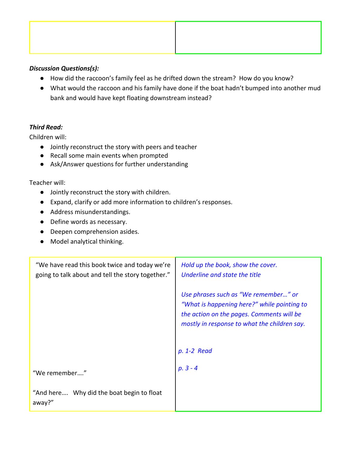

#### *Discussion Questions(s):*

- How did the raccoon's family feel as he drifted down the stream? How do you know?
- What would the raccoon and his family have done if the boat hadn't bumped into another mud bank and would have kept floating downstream instead?

### *Third Read:*

Children will:

- Jointly reconstruct the story with peers and teacher
- Recall some main events when prompted
- Ask/Answer questions for further understanding

#### Teacher will:

- Jointly reconstruct the story with children.
- Expand, clarify or add more information to children's responses.
- Address misunderstandings.
- Define words as necessary.
- Deepen comprehension asides.
- Model analytical thinking.

| "We have read this book twice and today we're<br>going to talk about and tell the story together." | Hold up the book, show the cover.<br>Underline and state the title                                                                                                                              |
|----------------------------------------------------------------------------------------------------|-------------------------------------------------------------------------------------------------------------------------------------------------------------------------------------------------|
|                                                                                                    | Use phrases such as "We remember" or<br>"What is happening here?" while pointing to<br>the action on the pages. Comments will be<br>mostly in response to what the children say.<br>p. 1-2 Read |
| "We remember"                                                                                      | $p. 3 - 4$                                                                                                                                                                                      |
| "And here Why did the boat begin to float<br>away?"                                                |                                                                                                                                                                                                 |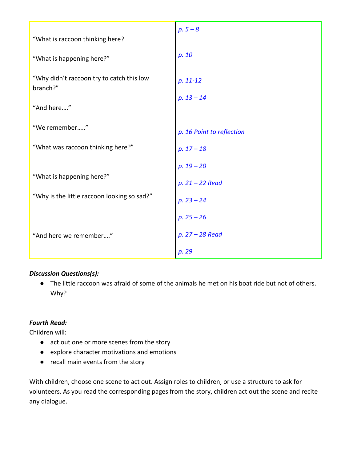| "What is raccoon thinking here?                       | $p.5 - 8$                         |
|-------------------------------------------------------|-----------------------------------|
| "What is happening here?"                             | p. 10                             |
| "Why didn't raccoon try to catch this low<br>branch?" | $p. 11-12$                        |
| "And here"                                            | $p. 13 - 14$                      |
| "We remember"                                         | p. 16 Point to reflection         |
| "What was raccoon thinking here?"                     | $p. 17 - 18$                      |
| "What is happening here?"                             | $p. 19 - 20$                      |
| "Why is the little raccoon looking so sad?"           | $p. 21 - 22$ Read<br>$p. 23 - 24$ |
|                                                       | $p. 25 - 26$                      |
| "And here we remember"                                | p. 27 - 28 Read                   |
|                                                       | p. 29                             |

## *Discussion Questions(s):*

● The little raccoon was afraid of some of the animals he met on his boat ride but not of others. Why?

## *Fourth Read:*

Children will:

- act out one or more scenes from the story
- explore character motivations and emotions
- recall main events from the story

With children, choose one scene to act out. Assign roles to children, or use a structure to ask for volunteers. As you read the corresponding pages from the story, children act out the scene and recite any dialogue.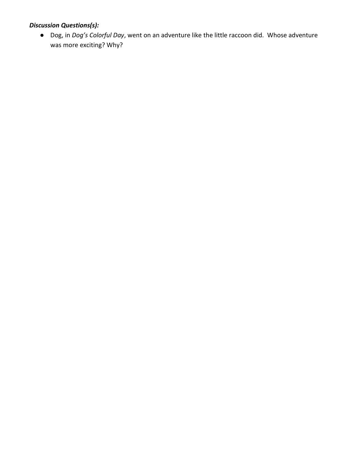# *Discussion Questions(s):*

● Dog, in *Dog's Colorful Day*, went on an adventure like the little raccoon did. Whose adventure was more exciting? Why?